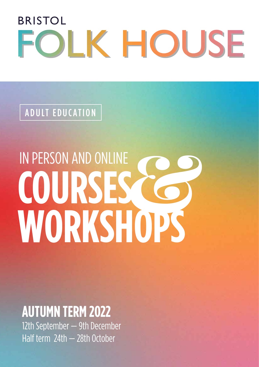# BRISTOL FOLK HOUSE

ADULT EDUCATION

# IN PERSON AND ONLINE **COURSES CO**

## **AUTUMN TERM 2022**

12th September - 9th December Half term 24th — 28th October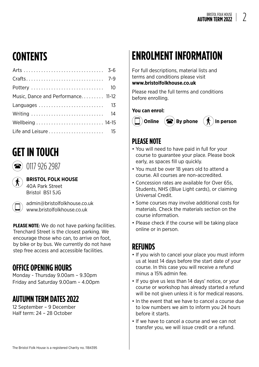## **CONTENTS**

| Music, Dance and Performance 11-12 |  |
|------------------------------------|--|
| Languages  13                      |  |
|                                    |  |
|                                    |  |
|                                    |  |

#### **GET IN TOUCH**

 $\bigcirc$  0117 926 2987

**BRISTOL FOLK HOUSE** 40A Park Street Bristol BS1 5JG

admin@bristolfolkhouse.co.uk www.bristolfolkhouse.co.uk

PLEASE NOTE: We do not have parking facilities. Trenchard Street is the closest parking. We encourage those who can, to arrive on foot, by bike or by bus. We currently do not have step free access and accessible facilities.

#### **OFFICE OPENING HOURS**

Monday - Thursday 9.00am – 9.30pm Friday and Saturday 9.00am – 4.00pm

#### **AUTUMN TERM DATES 2022**

12 September – 9 December Half term: 24 – 28 October

### **ENROLMENT INFORMATION**

For full descriptions, material lists and terms and conditions please visit

#### **www.bristolfolkhouse.co.uk**

Please read the full terms and conditions before enrolling.

#### **You can enrol:**



#### **PLEASE NOTE**

- You will need to have paid in full for your course to guarantee your place. Please book early, as spaces fill up quickly.
- You must be over 18 years old to attend a course. All courses are non-accredited.
- Concession rates are available for Over 65s, Students, NHS (Blue Light cards), or claiming Universal Credit.
- Some courses may involve additional costs for materials. Check the materials section on the course information.
- Please check if the course will be taking place online or in person.

#### **REFUNDS**

- If you wish to cancel your place you must inform us at least 14 days before the start date of your course. In this case you will receive a refund minus a 15% admin fee.
- If you give us less than 14 days' notice, or your course or workshop has already started a refund will be not given unless it is for medical reasons.
- In the event that we have to cancel a course due to low numbers we aim to inform you 24 hours before it starts.
- If we have to cancel a course and we can not transfer you, we will issue credit or a refund.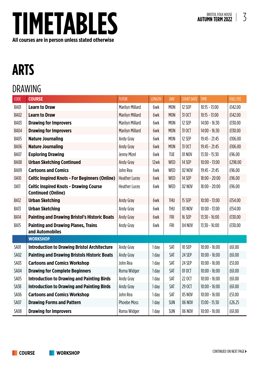

# **ARTS**

#### DRAWING

| <b>CODE</b> | <b>COURSE</b>                                                              | <b>TUTOR</b>           | <b>LENGTH</b> | DAY        | <b>START DATE</b> | <b>TIME</b>     | <b>FULL FEE</b> |
|-------------|----------------------------------------------------------------------------|------------------------|---------------|------------|-------------------|-----------------|-----------------|
| <b>BA01</b> | <b>Learn to Draw</b>                                                       | Marilyn Millard        | 6wk           | <b>MON</b> | 12 SEP            | $10:15 - 13:00$ | £142.00         |
| BA02        | <b>Learn to Draw</b>                                                       | <b>Marilyn Millard</b> | 6wk           | <b>MON</b> | 31 OCT            | $10:15 - 13:00$ | £142.00         |
| <b>BA03</b> | <b>Drawing for Improvers</b>                                               | <b>Marilyn Millard</b> | 6wk           | <b>MON</b> | 12 SEP            | $14:00 - 16:30$ | £130.00         |
| BA04        | <b>Drawing for Improvers</b>                                               | <b>Marilyn Millard</b> | 6wk           | <b>MON</b> | 31 OCT            | $14:00 - 16:30$ | £130.00         |
| BA05        | <b>Nature Journaling</b>                                                   | Andy Gray              | 6wk           | <b>MON</b> | 12 SEP            | $19:45 - 21:45$ | £106.00         |
| BA06        | <b>Nature Journaling</b>                                                   | Andy Gray              | 6wk           | <b>MON</b> | 31 OCT            | $19:45 - 21:45$ | £106.00         |
| BA07        | <b>Exploring Drawing</b>                                                   | Jenny Mizel            | 6wk           | <b>TUE</b> | 01 NOV            | $13:30 - 15:30$ | £96.00          |
| BA08        | <b>Urban Sketching Continued</b>                                           | Andy Gray              | 12wk          | WED        | 14 SEP            | $10:00 - 13:00$ | £298.00         |
| <b>BA09</b> | <b>Cartoons and Comics</b>                                                 | John Rea               | 6wk           | WED        | <b>02 NOV</b>     | $19:45 - 21:45$ | £96.00          |
| 0A10        | <b>Celtic Inspired Knots - For Beginners (Online)</b>                      | <b>Heather Lucey</b>   | 6wk           | WED        | 14 SEP            | $18:00 - 20:00$ | £96.00          |
| 0A11        | <b>Celtic Inspired Knots - Drawing Course</b><br><b>Continued (Online)</b> | <b>Heather Lucey</b>   | 6wk           | WED        | 02 NOV            | $18:00 - 20:00$ | £96.00          |
| BA12        | <b>Urban Sketching</b>                                                     | Andy Gray              | 6wk           | <b>THU</b> | 15 SEP            | $10:00 - 13:00$ | £154.00         |
| BA13        | <b>Urban Sketching</b>                                                     | Andy Gray              | 6wk           | <b>THU</b> | <b>03 NOV</b>     | $10:00 - 13:00$ | £154.00         |
| BA14        | <b>Painting and Drawing Bristol's Historic Boats</b>                       | Andy Gray              | 6wk           | <b>FRI</b> | 16 SEP            | $13:30 - 16:00$ | £130.00         |
| BA15        | <b>Painting and Drawing Planes, Trains</b><br>and Automobiles              | Andy Gray              | 6wk           | <b>FRI</b> | 04 NOV            | $13:30 - 16:00$ | £130.00         |
|             | <b>WORKSHOP</b>                                                            |                        |               |            |                   |                 |                 |
| <b>SA01</b> | <b>Introduction to Drawing Bristol Architecture</b>                        | Andy Gray              | 1 day         | SAT        | 10 SEP            | $10:00 - 16:00$ | £61.00          |
| SA02        | <b>Painting and Drawing Bristols Historic Boats</b>                        | Andy Gray              | 1 day         | <b>SAT</b> | 24 SEP            | $10:00 - 16:00$ | £61.00          |
| SA03        | <b>Cartoons and Comics Workshop</b>                                        | John Rea               | 1 day         | SAT        | 24 SEP            | $10:00 - 16:00$ | £51.00          |
| <b>SA04</b> | <b>Drawing for Complete Beginners</b>                                      | Roma Widger            | 1 day         | <b>SAT</b> | 01 OCT            | $10:00 - 16:00$ | £61.00          |
| <b>SA05</b> | <b>Introduction to Drawing and Painting Birds</b>                          | Andy Gray              | 1 day         | <b>SAT</b> | 22 OCT            | $10:00 - 16:00$ | £61.00          |
| <b>SA38</b> | <b>Introduction to Drawing and Painting Birds</b>                          | Andy Gray              | 1 day         | SAT        | 29 OCT            | $10:00 - 16:00$ | £61.00          |
| SA06        | <b>Cartoons and Comics Workshop</b>                                        | John Rea               | 1 day         | SAT        | 05 NOV            | $10:00 - 16:00$ | £51.00          |
| <b>SA07</b> | <b>Drawing Forms and Pattern</b>                                           | <b>Phoebe Moss</b>     | 1 day         | <b>SUN</b> | <b>06 NOV</b>     | 13:00 - 15:30   | £26.25          |
| <b>SA08</b> | <b>Drawing for Improvers</b>                                               | Roma Widger            | 1 day         | SUN        | 06 NOV            | $10:00 - 16:00$ | £61.00          |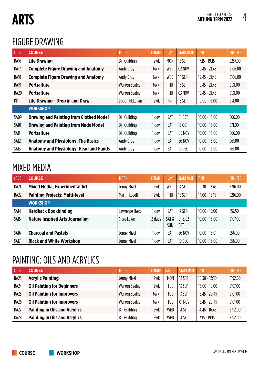# **ARTS**

#### FIGURE DRAWING

| <b>CODE</b> | <b>COURSE</b>                                  | <b>TUTOR</b>         | <b>LENGTH</b> | <b>DAY</b> | <b>START DATE</b> | <b>TIME</b>     | <b>FULL FEE</b> |
|-------------|------------------------------------------------|----------------------|---------------|------------|-------------------|-----------------|-----------------|
| BA16        | <b>Life Drawing</b>                            | <b>Bill Guilding</b> | 12wk          | <b>MON</b> | 12 SEP            | $17:15 - 19:15$ | £257.00         |
| BA17        | <b>Complete Figure Drawing and Anatomy</b>     | Andy Gray            | 6wk           | <b>WED</b> | 02 NOV            | $19:45 - 21:45$ | £106.00         |
| BA18        | <b>Complete Figure Drawing and Anatomy</b>     | Andy Gray            | 6wk           | WED        | 14 SEP            | $19:45 - 21:45$ | £106.00         |
| BA19        | <b>Portraiture</b>                             | <b>Warren Sealey</b> | 6wk           | THU        | 15 SEP            | $19:45 - 21:45$ | £131.00         |
| BA20        | <b>Portraiture</b>                             | <b>Warren Sealey</b> | 6wk           | THU        | 03 NOV            | $19:45 - 21:45$ | £131.00         |
| <b>DD</b>   | Life Drawing - Drop in and Draw                | Lucian McLellan      | 12wk          | <b>FRI</b> | <b>16 SEP</b>     | $10:00 - 13:00$ | £14.00          |
|             | <b>WORKSHOP</b>                                |                      |               |            |                   |                 |                 |
| SA09        | <b>Drawing and Painting from Clothed Model</b> | <b>Bill Guilding</b> | 1 day         | <b>SAT</b> | 01 OCT            | $10:00 - 16:00$ | £66.00          |
| SA10        | <b>Drawing and Painting from Nude Model</b>    | <b>Bill Guilding</b> | 1 day         | SAT        | 15 OCT            | $10:00 - 16:00$ | £71.00          |
| SA11        | <b>Portraiture</b>                             | <b>Bill Guilding</b> | 1 day         | SAT        | 05 NOV            | $10:00 - 16:00$ | £66.00          |
| SA12        | <b>Anatomy and Physiology: The Basics</b>      | Andy Gray            | 1 day         | SAT        | <b>26 NOV</b>     | $10:00 - 16:00$ | £61.00          |
| SA13        | <b>Anatomy and Physiology: Head and Hands</b>  | Andy Gray            | 1 day         | SAT        | 10 DEC            | $10:00 - 16:00$ | £61.00          |

#### MIXED MEDIA

| <b>CODE</b>      | <b>COURSE</b>                          | <b>TUTOR</b>    | <b>LENGTH</b> | <b>DAY</b>         | <b>START DATE</b> | <b>TIME</b>     | <b>FULL FEE</b> |
|------------------|----------------------------------------|-----------------|---------------|--------------------|-------------------|-----------------|-----------------|
| BA21             | <b>Mixed Media, Experimental Art</b>   | Jenny Mizel     | 12wk          | <b>WED</b>         | 14 SEP            | $10:30 - 12:45$ | £216.00         |
| BA22             | <b>Painting Projects: Multi-level</b>  | Martin Lovell   | 12wk          | <b>THU</b>         | 15 SEP            | $14:00 - 16:15$ | £216.00         |
|                  | <b>WORKSHOP</b>                        |                 |               |                    |                   |                 |                 |
| SA <sub>14</sub> | <b>Hardback Bookbinding</b>            | Lawrence Hassan | day           | SAT                | 17 SEP            | $10:00 - 15:00$ | £57.50          |
| SA <sub>15</sub> | <b>Nature Inspired Arts Journaling</b> | Clare Lowe      | 2 days        | SAT&<br><b>SUN</b> | 01 & 02<br>0CT    | $10:00 - 16:00$ | £107.00         |
| SA16             | <b>Charcoal and Pastels</b>            | Jenny Mizel     | day           | SAT                | <b>26 NOV</b>     | $10:00 - 16:01$ | £56.00          |
| SA17             | <b>Black and White Workshop</b>        | Jenny Mizel     | day           | SAT                | <b>10 DEC</b>     | $10:00 - 16:00$ | £56.00          |

#### PAINTING: OILS AND ACRYLICS

| <b>CODE</b> | <b>COURSE</b>                        | <b>TUTOR</b>         | <b>LENGTH</b> | <b>DAY</b> | <b>START DATE</b> | <b>TIME</b>     | <b>FULL FEE</b> |
|-------------|--------------------------------------|----------------------|---------------|------------|-------------------|-----------------|-----------------|
| BA23        | <b>Acrylic Painting</b>              | Jenny Mizel          | 12wk          | <b>MON</b> | 12 SEP            | $10:30 - 12:30$ | £192.00         |
| BA24        | <b>Oil Painting for Beginners</b>    | <b>Warren Sealey</b> | 12wk          | TUE        | 13 SEP            | $16:00 - 18:00$ | £197.00         |
| BA25        | <b>Oil Painting for Improvers</b>    | <b>Warren Sealey</b> | 6wk           | <b>TUE</b> | 13 SEP            | $18:45 - 20:45$ | £101.00         |
| BA26        | <b>Oil Painting for Improvers</b>    | <b>Warren Sealey</b> | 6wk           | TUE        | 01 NOV            | $18:45 - 20:45$ | £101.00         |
| BA27        | <b>Painting in Oils and Acrylics</b> | <b>Bill Guilding</b> | 12wk          | WED        | 14 SEP            | $14:45 - 16:45$ | £192.00         |
| BA28        | <b>Painting in Oils and Acrylics</b> | <b>Bill Guilding</b> | 12wk          | WED        | 14 SEP            | $17:15 - 19:15$ | £192.00         |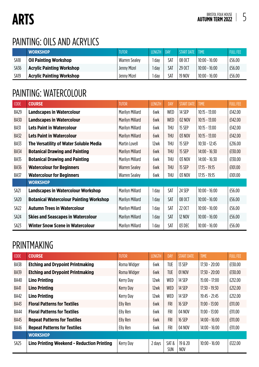#### PAINTING: OILS AND ACRYLICS

|      | <b>WORKSHOP</b>                  | <b>TUTOR</b>         | <b>LENGTH</b> | <b>DAY</b> | START DATE   TIME |                 | <b>FULL FEE</b> |
|------|----------------------------------|----------------------|---------------|------------|-------------------|-----------------|-----------------|
| SA18 | <b>Oil Painting Workshop</b>     | <b>Warren Sealey</b> | ı dav         | SAT        | 08 OCT            | $10:00 - 16:00$ | £56.00          |
| SA36 | <b>Acrylic Painting Workshop</b> | Jenny Mizel          | ı day         | SAT        | 29 OCT            | $10:00 - 16:00$ | £56.00          |
| SA19 | <b>Acrylic Painting Workshop</b> | Jenny Mizel          | ı dav         | SAT        | <b>19 NOV</b>     | $10:00 - 16:00$ | £56.00          |

#### PAINTING: WATERCOLOUR

| <b>CODE</b> | <b>COURSE</b>                                  | <b>TUTOR</b>         | <b>LENGTH</b> | <b>DAY</b> | <b>START DATE</b> | <b>TIME</b>     | <b>FULL FEE</b> |
|-------------|------------------------------------------------|----------------------|---------------|------------|-------------------|-----------------|-----------------|
| BA29        | <b>Landscapes in Watercolour</b>               | Marilyn Millard      | 6wk           | WED        | 14 SEP            | $10:15 - 13:00$ | £142.00         |
| <b>BA30</b> | <b>Landscapes in Watercolour</b>               | Marilyn Millard      | 6wk           | WED        | 02 NOV            | $10:15 - 13:00$ | £142.00         |
| <b>BA31</b> | <b>Lets Paint in Watercolour</b>               | Marilyn Millard      | 6wk           | THU        | 15 SEP            | $10:15 - 13:00$ | £142.00         |
| BA32        | <b>Lets Paint in Watercolour</b>               | Marilyn Millard      | 6wk           | <b>THU</b> | 03 NOV            | $10:15 - 13:00$ | £142.00         |
| BA33        | The Versatility of Water Soluble Media         | Martin Lovell        | 12wk          | <b>THU</b> | 15 SEP            | $10:30 - 12:45$ | £216.00         |
| <b>BA34</b> | <b>Botanical Drawing and Painting</b>          | Marilyn Millard      | 6wk           | <b>THU</b> | 15 SEP            | $14:00 - 16:30$ | £130.00         |
| BA35        | <b>Botanical Drawing and Painting</b>          | Marilyn Millard      | 6wk           | <b>THU</b> | 03 NOV            | $14:00 - 16:30$ | £130.00         |
| <b>BA36</b> | <b>Watercolour for Beginners</b>               | <b>Warren Sealey</b> | 6wk           | <b>THU</b> | 15 SEP            | $17:15 - 19:15$ | £101.00         |
| <b>BA37</b> | <b>Watercolour for Beginners</b>               | <b>Warren Sealey</b> | 6wk           | THU        | 03 NOV            | $17:15 - 19:15$ | £101.00         |
|             | <b>WORKSHOP</b>                                |                      |               |            |                   |                 |                 |
| SA21        | <b>Landscapes in Watercolour Workshop</b>      | Marilyn Millard      | 1 day         | SAT        | 24 SEP            | $10:00 - 16:00$ | £56.00          |
| <b>SA20</b> | <b>Botanical Watercolour Painting Workshop</b> | Marilyn Millard      | 1 day         | SAT        | 08 OCT            | $10:00 - 16:00$ | £56.00          |
| SA22        | <b>Autumn Trees in Watercolour</b>             | Marilyn Millard      | 1 day         | SAT        | 22 OCT            | $10:00 - 16:00$ | £56.00          |
| SA24        | <b>Skies and Seascapes in Watercolour</b>      | Marilyn Millard      | 1 day         | SAT        | <b>12 NOV</b>     | $10:00 - 16:00$ | £56.00          |
| SA23        | <b>Winter Snow Scene in Watercolour</b>        | Marilyn Millard      | 1 day         | SAT        | 03 DEC            | $10:00 - 16:00$ | £56.00          |

#### PRINTMAKING

| <b>CODE</b>      | <b>COURSE</b>                              | <b>TUTOR</b> | <b>LENGTH</b> | <b>DAY</b>  | <b>START DATE</b> | <b>TIME</b>     | <b>FULL FEE</b> |
|------------------|--------------------------------------------|--------------|---------------|-------------|-------------------|-----------------|-----------------|
| BA38             | <b>Etching and Drypoint Printmaking</b>    | Roma Widger  | 6wk           | <b>TUE</b>  | 13 SEP            | $17:30 - 20:00$ | £130.00         |
| <b>BA39</b>      | <b>Etching and Drypoint Printmaking</b>    | Roma Widger  | 6wk           | <b>TUE</b>  | 01 NOV            | $17:30 - 20:00$ | £130.00         |
| <b>BA40</b>      | <b>Lino Printing</b>                       | Kerry Day    | 12wk          | <b>WED</b>  | 14 SEP            | $15:00 - 17:00$ | £212.00         |
| <b>BA41</b>      | <b>Lino Printing</b>                       | Kerry Day    | 12wk          | <b>WED</b>  | 14 SEP            | $17:30 - 19:30$ | £212.00         |
| BA42             | <b>Lino Printing</b>                       | Kerry Day    | 12wk          | <b>WED</b>  | 14 SEP            | $19:45 - 21:45$ | £212.00         |
| BA43             | <b>Floral Patterns for Textiles</b>        | Elly Ren     | 6wk           | <b>FRI</b>  | <b>16 SEP</b>     | $11:00 - 13:00$ | £111.00         |
| <b>BA44</b>      | <b>Floral Patterns for Textiles</b>        | Elly Ren     | 6wk           | <b>FRI</b>  | 04 NOV            | $11:00 - 13:00$ | £111.00         |
| BA45             | <b>Repeat Patterns for Textiles</b>        | Elly Ren     | 6wk           | <b>FRI</b>  | <b>16 SEP</b>     | $14:00 - 16:00$ | £111.00         |
| <b>BA46</b>      | <b>Repeat Patterns for Textiles</b>        | Elly Ren     | 6wk           | <b>FRI</b>  | 04 NOV            | $14:00 - 16:00$ | £111.00         |
|                  | <b>WORKSHOP</b>                            |              |               |             |                   |                 |                 |
| SA <sub>25</sub> | Lino Printing Weekend - Reduction Printing | Kerry Day    | 2 days        | SAT&<br>SUN | 19 & 20<br>NOV    | $10:00 - 16:00$ | £122.00         |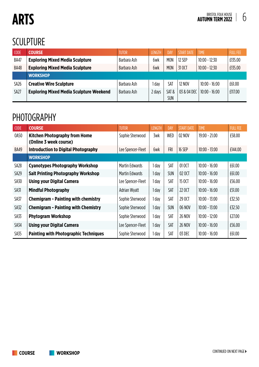# **ARTS**

#### SCULPTURE

| CODE             | <b>COURSE</b>                                  | <b>TUTOR</b> | I FNGTH | <b>DAY</b>         | <b>START DATE</b> | <b>TIME</b>     | <b>FULL FEE</b> |
|------------------|------------------------------------------------|--------------|---------|--------------------|-------------------|-----------------|-----------------|
| <b>BA47</b>      | <b>Exploring Mixed Media Sculpture</b>         | Barbara Ash  | 6wk     | <b>MON</b>         | 12 SEP            | $10:00 - 12:30$ | £135.00         |
| <b>BA48</b>      | <b>Exploring Mixed Media Sculpture</b>         | Barbara Ash  | 6wk     | <b>MON</b>         | 31 OCT            | $10:00 - 12:30$ | £135.00         |
|                  | <b>WORKSHOP</b>                                |              |         |                    |                   |                 |                 |
| SA <sub>26</sub> | <b>Creative Wire Sculpture</b>                 | Barbara Ash  | l dav   | SAT                | <b>12 NOV</b>     | $10:00 - 16:00$ | £61.00          |
| SA27             | <b>Exploring Mixed Media Sculpture Weekend</b> | Barbara Ash  | 2 days  | SAT&<br><b>SUN</b> | 03 & 04 DEC       | $10:00 - 16:00$ | £117.00         |

#### PHOTOGRAPHY

| <b>CODE</b>      | <b>COURSE</b>                                                  | <b>TUTOR</b>          | <b>LENGTH</b> | DAY        | <b>START DATE</b> | <b>TIME</b>     | <b>FULL FEE</b> |
|------------------|----------------------------------------------------------------|-----------------------|---------------|------------|-------------------|-----------------|-----------------|
| 0A50             | <b>Kitchen Photography from Home</b><br>(Online 3 week course) | Sophie Sherwood       | 3wk           | WED        | 02 NOV            | $19:00 - 21.00$ | £58.00          |
| <b>BA49</b>      | <b>Introduction to Digital Photography</b>                     | Lee Spencer-Fleet     | 6wk           | <b>FRI</b> | <b>16 SEP</b>     | $10:00 - 13:00$ | £144.00         |
|                  | <b>WORKSHOP</b>                                                |                       |               |            |                   |                 |                 |
| SA <sub>28</sub> | <b>Cyanotypes Photography Workshop</b>                         | <b>Martin Edwards</b> | 1 day         | SAT        | 01 OCT            | $10:00 - 16:00$ | £61.00          |
| SA29             | <b>Salt Printing Photography Workshop</b>                      | <b>Martin Edwards</b> | 1 day         | <b>SUN</b> | 02 OCT            | $10:00 - 16:00$ | £61.00          |
| SA30             | <b>Using your Digital Camera</b>                               | Lee Spencer-Fleet     | 1 day         | SAT        | 15 OCT            | $10:00 - 16:00$ | £56.00          |
| <b>SA31</b>      | <b>Mindful Photography</b>                                     | Adrian Wyatt          | 1 day         | SAT        | 22 OCT            | $10:00 - 16:00$ | £51.00          |
| SA37             | <b>Chemigram - Painting with chemistry</b>                     | Sophie Sherwood       | 1 day         | SAT        | 29 OCT            | $10:00 - 13:00$ | £32.50          |
| SA32             | <b>Chemigram - Painting with Chemistry</b>                     | Sophie Sherwood       | 1 day         | <b>SUN</b> | 06 NOV            | $10:00 - 13:00$ | £32.50          |
| SA33             | <b>Phytogram Workshop</b>                                      | Sophie Sherwood       | 1 day         | SAT        | <b>26 NOV</b>     | $10:00 - 12:00$ | £27.00          |
| SA34             | <b>Using your Digital Camera</b>                               | Lee Spencer-Fleet     | 1 day         | SAT        | <b>26 NOV</b>     | $10:00 - 16:00$ | £56.00          |
| SA35             | <b>Painting with Photographic Techniques</b>                   | Sophie Sherwood       | 1 day         | SAT        | 03 DEC            | $10:00 - 16:00$ | £61.00          |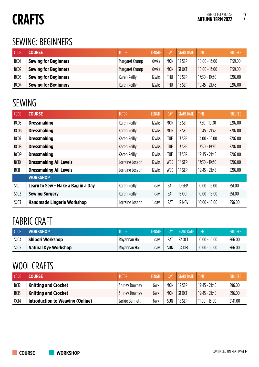# **CRAFTS**

#### SEWING: BEGINNERS

| <b>CODE</b>      | <b>COURSE</b>               | <b>TUTOR</b>   | <b>LENGTH</b> | <b>DAY</b> | <b>START DATE</b> | <b>TIME</b>     | <b>FULL FEE</b> |
|------------------|-----------------------------|----------------|---------------|------------|-------------------|-----------------|-----------------|
| <b>BC01</b>      | <b>Sewing for Beginners</b> | Margaret Crump | 6wks          | <b>MON</b> | 12 SEP            | $10:00 - 13:00$ | £159.00         |
| BC <sub>02</sub> | <b>Sewing for Beginners</b> | Margaret Crump | 6wks          | <b>MON</b> | 31 OCT            | $10:00 - 13:00$ | £159.00         |
| <b>BC03</b>      | <b>Sewing for Beginners</b> | Karen Reilly   | 12wks         | THU        | 15 SEP            | $17:30 - 19:30$ | £207.00         |
| BC04             | <b>Sewing for Beginners</b> | Karen Reilly   | 12wks         | <b>THU</b> | 15 SEP            | $19:45 - 21:45$ | £207.00         |

#### SEWING

| CODE             | <b>COURSE</b>                      | <b>TUTOR</b>        | <b>LENGTH</b> | DAY        | <b>START DATE</b> | <b>TIME</b>     | <b>FULL FEE</b> |
|------------------|------------------------------------|---------------------|---------------|------------|-------------------|-----------------|-----------------|
| BC <sub>05</sub> | <b>Dressmaking</b>                 | Karen Reilly        | 12wks         | <b>MON</b> | 12 SEP            | $17.30 - 19.30$ | £207.00         |
| <b>BC06</b>      | <b>Dressmaking</b>                 | <b>Karen Reilly</b> | 12wks         | <b>MON</b> | 12 SEP            | $19:45 - 21:45$ | £207.00         |
| BC07             | <b>Dressmaking</b>                 | Karen Reilly        | 12wks         | <b>TUE</b> | 13 SEP            | $14.00 - 16.00$ | £207.00         |
| BC <sub>08</sub> | <b>Dressmaking</b>                 | <b>Karen Reilly</b> | 12wks         | TUE        | 13 SEP            | $17:30 - 19:30$ | £207.00         |
| BCO9             | <b>Dressmaking</b>                 | Karen Reilly        | 12wks         | <b>TUE</b> | 13 SEP            | $19:45 - 21:45$ | £207.00         |
| <b>BC10</b>      | <b>Dressmaking All Levels</b>      | Lorraine Joseph     | 12wks         | WED        | 14 SEP            | $17:30 - 19:30$ | £207.00         |
| <b>BC11</b>      | <b>Dressmaking All Levels</b>      | Lorraine Joseph     | 12wks         | WED        | 14 SEP            | $19:45 - 21:45$ | £207.00         |
|                  | <b>WORKSHOP</b>                    |                     |               |            |                   |                 |                 |
| SC01             | Learn to Sew - Make a Bag in a Day | Karen Reilly        | 1 day         | SAT        | <b>10 SEP</b>     | $10:00 - 16.00$ | £51.00          |
| SCO2             | <b>Sewing Surgery</b>              | Karen Reilly        | 1 day         | SAT        | 15 OCT            | $10:00 - 16:00$ | £51.00          |
| SCO <sub>3</sub> | <b>Handmade Lingerie Workshop</b>  | Lorraine Joseph     | 1 day         | SAT        | <b>12 NOV</b>     | $10:00 - 16:00$ | £56.00          |

#### FABRIC CRAFT

| CODE        | <b>WORKSHOP</b>             | <b>TUTOR</b>  | <b>LENGTH</b> | DAY        | <b>START DATE</b> | <b>TIME</b>     | <b>FULL FEE</b> |
|-------------|-----------------------------|---------------|---------------|------------|-------------------|-----------------|-----------------|
| <b>SC04</b> | <b>Shibori Workshop</b>     | Rhyannan Hall | l dav         | SAT        | 22 OCT            | $10:00 - 16:00$ | £66.00          |
| SC05        | <b>Natural Dye Workshop</b> | Rhyannan Hall | I day         | <b>SUN</b> | 04 DEC            | $10:00 - 16:00$ | £66.00          |

#### WOOL CRAFTS

| <b>CODE</b> | COURSE                           | TUTOR                 | <b>LENGTH</b> | <b>DAY</b> | <b>START DATE</b> | <b>TIME</b>     | <b>FULL FEE</b> |
|-------------|----------------------------------|-----------------------|---------------|------------|-------------------|-----------------|-----------------|
| <b>BC12</b> | <b>Knitting and Crochet</b>      | <b>Shirley Downey</b> | 6wk           | <b>MON</b> | 12 SFP            | 19:45 - 21:45   | £96.00          |
| <b>BC13</b> | <b>Knitting and Crochet</b>      | <b>Shirley Downey</b> | 6wk           | <b>MON</b> | 31 OCT            | $19:45 - 21:45$ | £96.00          |
| 0C14        | Introduction to Weaving (Online) | Jackie Bennett        | 6wk           | <b>SUN</b> | 18 SEP            | $11:00 - 13:00$ | £141.00         |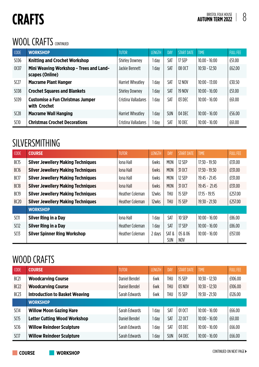# **CRAFTS**

#### WOOL CRAFTS CONTINUED

| <b>CODE</b>     | <b>WORKSHOP</b>                                            | <b>TUTOR</b>          | <b>LENGTH</b> | DAY        | <b>START DATE</b> | <b>TIME</b>     | <b>FULL FEE</b> |
|-----------------|------------------------------------------------------------|-----------------------|---------------|------------|-------------------|-----------------|-----------------|
| S <sub>06</sub> | <b>Knitting and Crochet Workshop</b>                       | <b>Shirley Downey</b> | I day         | <b>SAT</b> | 17 SEP            | $10.00 - 16:00$ | £51.00          |
| 0 <sub>07</sub> | Mini Weaving Workshop - Trees and Land-<br>scapes (Online) | Jackie Bennett        | 1 day         | <b>SAT</b> | 08 OCT            | $10:30 - 12:30$ | £62.00          |
| SC27            | <b>Macrame Plant Hanger</b>                                | Harriet Wheatley      | l dav         | <b>SAT</b> | <b>12 NOV</b>     | $10:00 - 13:00$ | £30.50          |
| <b>SC08</b>     | <b>Crochet Squares and Blankets</b>                        | <b>Shirley Downey</b> | 1 day         | SAT        | <b>19 NOV</b>     | $10:00 - 16:00$ | £51.00          |
| SCO9            | <b>Customise a Fun Christmas Jumper</b><br>with Crochet    | Cristina Valladares   | l dav         | <b>SAT</b> | 03 DEC            | $10:00 - 16:00$ | £61.00          |
| SC28            | <b>Macrame Wall Hanging</b>                                | Harriet Wheatley      | 1 day         | <b>SUN</b> | 04 DEC            | $10:00 - 16:00$ | £56.00          |
| SC10            | <b>Christmas Crochet Decorations</b>                       | Cristina Valladares   | I day         | <b>SAT</b> | <b>10 DEC</b>     | $10:00 - 16:00$ | £61.00          |

#### SILVERSMITHING

| <b>CODE</b>      | <b>COURSE</b>                             | <b>TUTOR</b>           | <b>LENGTH</b> | DAY                | <b>START DATE</b>     | <b>TIME</b>     | <b>FULL FEE</b> |
|------------------|-------------------------------------------|------------------------|---------------|--------------------|-----------------------|-----------------|-----------------|
| <b>BC15</b>      | <b>Silver Jewellery Making Techniques</b> | Iona Hall              | 6wks          | <b>MON</b>         | 12 SEP                | $17:30 - 19:30$ | £131.00         |
| <b>BC16</b>      | <b>Silver Jewellery Making Techniques</b> | <b>Iona Hall</b>       | 6wks          | <b>MON</b>         | 31 OCT                | $17:30 - 19:30$ | £131.00         |
| BC17             | <b>Silver Jewellery Making Techniques</b> | lona Hall              | 6wks          | <b>MON</b>         | 12 SEP                | $19:45 - 21:45$ | £131.00         |
| BC <sub>18</sub> | <b>Silver Jewellery Making Techniques</b> | lona Hall              | 6wks          | <b>MON</b>         | 31 OCT                | $19:45 - 21:45$ | £131.00         |
| <b>BC19</b>      | <b>Silver Jewellery Making Techniques</b> | <b>Heather Coleman</b> | 12wks         | THU                | 15 SEP                | $17:15 - 19:15$ | £257.00         |
| <b>BC20</b>      | <b>Silver Jewellery Making Techniques</b> | <b>Heather Coleman</b> | 12wks         | THU                | 15 SEP                | $19:30 - 21:30$ | £257.00         |
|                  | <b>WORKSHOP</b>                           |                        |               |                    |                       |                 |                 |
| SC11             | <b>Silver Ring in a Day</b>               | lona Hall              | 1 day         | SAT                | <b>10 SEP</b>         | $10:00 - 16:00$ | £86.00          |
| SC12             | <b>Silver Ring in a Day</b>               | <b>Heather Coleman</b> | 1 day         | SAT                | 17 SEP                | $10:00 - 16:00$ | £86.00          |
| SC13             | <b>Silver Spinner Ring Workshop</b>       | Heather Coleman        | 2 days        | SAT&<br><b>SUN</b> | 05 & 06<br><b>NOV</b> | $10:00 - 16:00$ | £157.00         |

#### WOOD CRAFTS

| CODE        | <b>COURSE</b>                         | <b>TUTOR</b>  | <b>LENGTH</b> | DAY        | <b>START DATE</b> | <b>TIME</b>     | <b>FULL FEE</b> |
|-------------|---------------------------------------|---------------|---------------|------------|-------------------|-----------------|-----------------|
| <b>BC21</b> | <b>Woodcarving Course</b>             | Daniel Bendel | 6wk           | THU        | 15 SEP            | $10:30 - 12:30$ | £106.00         |
| BC22        | <b>Woodcarving Course</b>             | Daniel Bendel | 6wk           | <b>THU</b> | 03 NOV            | $10:30 - 12:30$ | £106.00         |
| <b>BC23</b> | <b>Introduction to Basket Weaving</b> | Sarah Edwards | 6wk           | THU        | 15 SEP            | $19:30 - 21:30$ | £126.00         |
|             | <b>WORKSHOP</b>                       |               |               |            |                   |                 |                 |
| SC14        | <b>Willow Moon Gazing Hare</b>        | Sarah Edwards | I day         | SAT        | 01 OCT            | $10:00 - 16:00$ | £66.00          |
| SC15        | <b>Letter Cutting Wood Workshop</b>   | Daniel Bendel | I day         | SAT        | 22 OCT            | $10:00 - 16:00$ | £61.00          |
| SC16        | <b>Willow Reindeer Sculpture</b>      | Sarah Edwards | day           | <b>SAT</b> | 03 DEC            | $10:00 - 16:00$ | £66.00          |
| SC17        | <b>Willow Reindeer Sculpture</b>      | Sarah Edwards | i day         | SUN        | 04 DEC            | $10:00 - 16:00$ | £66.00          |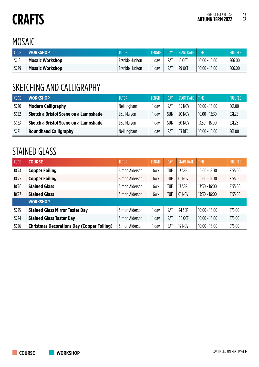#### MOSAIC

| CODE        | <b>WORKSHOP</b>        | <b>TUTOR</b>   | LENGTH | <b>DAY</b> | <b>START DATE</b> | . TIME          | <b>FULL FEE</b> |
|-------------|------------------------|----------------|--------|------------|-------------------|-----------------|-----------------|
| <b>SC18</b> | <b>Mosaic Workshop</b> | Frankie Hudson | day    | SAT        | 15 OCT            | $10:00 - 16:00$ | £66.00          |
| SC29        | <b>Mosaic Workshop</b> | Frankie Hudson | day    | SAT        | 29 OCT            | $10:00 - 16:00$ | £66.00          |

#### SKETCHING AND CALLIGRAPHY

| <b>CODE</b> | <b>WORKSHOP</b>                       | <b>TUTOR</b> | <b>LENGTH</b> | DAY        | START DATE    | <b>TIME</b>     | <b>FULL FEE</b> |
|-------------|---------------------------------------|--------------|---------------|------------|---------------|-----------------|-----------------|
| SC20        | <b>Modern Calligraphy</b>             | Neil Ingham  | dav           | SAT        | 05 NOV        | $10:00 - 16:00$ | £61.00          |
| SC22        | Sketch a Bristol Scene on a Lampshade | Lisa Malyon  | day           | <b>SUN</b> | <b>20 NOV</b> | $10.00 - 12:30$ | £31.25          |
| SC23        | Sketch a Bristol Scene on a Lampshade | Lisa Malyon  | day           | <b>SUN</b> | <b>20 NOV</b> | $13:30 - 16:00$ | £31.25          |
| SC21        | <b>Roundhand Calligraphy</b>          | Neil Ingham  | day           | SAT        | 03 DEC        | $10:00 - 16:00$ | £61.00          |

#### STAINED GLASS

| <b>CODE</b> | <b>COURSE</b>                                     | <b>TUTOR</b>   | <b>LENGTH</b> | <b>DAY</b> | <b>START DATE</b> | <b>TIME</b>     | <b>FULL FEE</b> |
|-------------|---------------------------------------------------|----------------|---------------|------------|-------------------|-----------------|-----------------|
| <b>BC24</b> | <b>Copper Foiling</b>                             | Simon Alderson | 6wk           | TUE        | 13 SEP            | $10:00 - 12:30$ | £155.00         |
| <b>BC25</b> | <b>Copper Foiling</b>                             | Simon Alderson | 6wk           | TUE        | 01 NOV            | $10:00 - 12:30$ | £155.00         |
| <b>BC26</b> | <b>Stained Glass</b>                              | Simon Alderson | 6wk           | TUE        | 13 SEP            | $13:30 - 16:00$ | £155.00         |
| <b>BC27</b> | <b>Stained Glass</b>                              | Simon Alderson | 6wk           | TUE        | 01 NOV            | $13:30 - 16:00$ | £155.00         |
|             | <b>WORKSHOP</b>                                   |                |               |            |                   |                 |                 |
| SC25        | <b>Stained Glass Mirror Taster Day</b>            | Simon Alderson | day           | SAT        | 24 SEP            | $10:00 - 16:00$ | £76.00          |
| SC24        | <b>Stained Glass Taster Day</b>                   | Simon Alderson | day           | SAT        | 08 OCT            | $10:00 - 16:00$ | £76.00          |
| SC26        | <b>Christmas Decorations Day (Copper Foiling)</b> | Simon Alderson | day           | SAT        | <b>12 NOV</b>     | $10:00 - 16:00$ | £76.00          |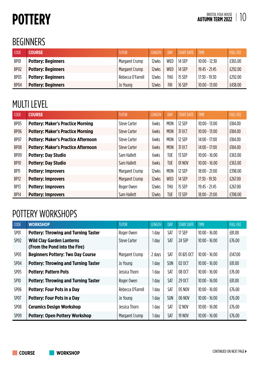# **POTTERY**

#### BEGINNERS

| CODE             | <b>COURSE</b>             | <b>TUTOR</b>      | <b>LENGTH</b> | DAY        | START DATE    | <b>TIME</b>     | <b>FULL FEE</b> |
|------------------|---------------------------|-------------------|---------------|------------|---------------|-----------------|-----------------|
| <b>BP01</b>      | <b>Pottery: Beginners</b> | Margaret Crump    | 12wks         | WED        | 14 SEP        | $10:00 - 12:30$ | £365.00         |
| BP <sub>02</sub> | <b>Pottery: Beginners</b> | Margaret Crump    | 12wks         | <b>WED</b> | 14 SEP        | $19:45 - 21:45$ | £292.00         |
| <b>BP03</b>      | <b>Pottery: Beginners</b> | Rebecca O'Farrell | 12wks         | <b>THU</b> | <b>15 SEP</b> | $17:30 - 19:30$ | £292.00         |
| BP04             | <b>Pottery: Beginners</b> | Jo Young          | 12wks         | <b>FRI</b> | <b>16 SEP</b> | $10:00 - 13:00$ | £438.00         |

#### MULTI LEVEL

| <b>CODE</b> | <b>COURSE</b>                              | <b>TUTOR</b>        | <b>LENGTH</b> | DAY        | <b>START DATE</b> | <b>TIME</b>     | <b>FULL FEE</b> |
|-------------|--------------------------------------------|---------------------|---------------|------------|-------------------|-----------------|-----------------|
| BP05        | <b>Pottery: Maker's Practice Morning</b>   | Steve Carter        | 6wks          | <b>MON</b> | 12 SEP            | $10:00 - 13:00$ | £184.00         |
| BP06        | <b>Pottery: Maker's Practice Morning</b>   | Steve Carter        | 6wks          | <b>MON</b> | 31 OCT            | $10:00 - 13:00$ | £184.00         |
| BP07        | <b>Pottery: Maker's Practice Afternoon</b> | Steve Carter        | 6wks          | <b>MON</b> | 12 SEP            | $14:00 - 17:00$ | £184.00         |
| BP08        | <b>Pottery: Maker's Practice Afternoon</b> | <b>Steve Carter</b> | 6wks          | <b>MON</b> | 31 OCT            | $14:00 - 17:00$ | £184.00         |
| BP09        | <b>Pottery: Day Studio</b>                 | Sam Hallett         | 6wks          | <b>TUE</b> | 13 SEP            | $10:00 - 16:00$ | £363.00         |
| BP10        | <b>Pottery: Day Studio</b>                 | Sam Hallett         | 6wks          | <b>TUE</b> | 01 NOV            | $10:00 - 16:00$ | £363.00         |
| BP11        | <b>Pottery: Improvers</b>                  | Margaret Crump      | 12wks         | <b>MON</b> | 12 SEP            | $18:00 - 21:00$ | £398.00         |
| BP12        | <b>Pottery: Improvers</b>                  | Margaret Crump      | 12wks         | WED        | 14 SEP            | $17:30 - 19:30$ | £267.00         |
| BP13        | <b>Pottery: Improvers</b>                  | Roger Owen          | 12wks         | THU        | <b>15 SEP</b>     | $19:45 - 21:45$ | £267.00         |
| BP14        | <b>Pottery: Improvers</b>                  | Sam Hallett         | 12wks         | <b>TUE</b> | 13 SEP            | $18:00 - 21:00$ | £398.00         |

#### POTTERY WORKSHOPS

| <b>CODE</b>      | <b>WORKSHOP</b>                                                   | <b>TUTOR</b>      | <b>LENGTH</b> | <b>DAY</b> | <b>START DATE</b> | <b>TIME</b>     | <b>FULL FEE</b> |
|------------------|-------------------------------------------------------------------|-------------------|---------------|------------|-------------------|-----------------|-----------------|
| <b>SP01</b>      | <b>Pottery: Throwing and Turning Taster</b>                       | Roger Owen        | l dav         | SAT        | 17 SEP            | $10:00 - 16:00$ | £81.00          |
| SP <sub>02</sub> | <b>Wild Clay Garden Lanterns</b><br>(From the Pond into the Fire) | Steve Carter      | l dav         | SAT        | 24 SEP            | $10:00 - 16:00$ | £76.00          |
| SP <sub>03</sub> | <b>Beginners Pottery: Two Day Course</b>                          | Margaret Crump    | 2 days        | <b>SAT</b> | 01 & 15 OCT       | $10:00 - 16:00$ | £147.00         |
| SP04             | <b>Pottery: Throwing and Turning Taster</b>                       | Jo Young          | l day         | <b>SUN</b> | 02 OCT            | $10:00 - 16:00$ | £81.00          |
| SP05             | <b>Pottery: Pattern Pots</b>                                      | Jessica Thorn     | day           | SAT        | 08 OCT            | $10:00 - 16:00$ | £76.00          |
| SP10             | <b>Pottery: Throwing and Turning Taster</b>                       | Roger Owen        | l dav         | SAT        | 29 OCT            | $10:00 - 16:00$ | £81.00          |
| SP <sub>06</sub> | <b>Pottery: Four Pots in a Day</b>                                | Rebecca O'Farrell | day           | SAT        | 05 NOV            | $10:00 - 16:00$ | £76.00          |
| SP07             | <b>Pottery: Four Pots in a Day</b>                                | Jo Young          | l day         | <b>SUN</b> | 06 NOV            | $10:00 - 16:00$ | £76.00          |
| SP <sub>08</sub> | <b>Ceramics Design Workshop</b>                                   | Jessica Thorn     | l day         | SAT        | <b>12 NOV</b>     | $10:00 - 16:00$ | £76.00          |
| SP <sub>09</sub> | <b>Pottery: Open Pottery Workshop</b>                             | Margaret Crump    | 1 day         | SAT        | <b>19 NOV</b>     | $10:00 - 16:00$ | £76.00          |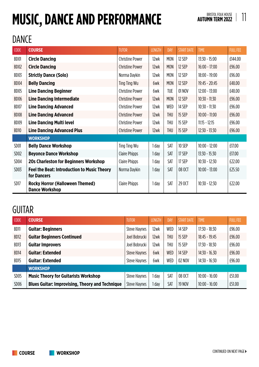# **MUSIC, DANCE AND PERFORMANCE**

#### DANCE

| <b>CODE</b>      | <b>COURSE</b>                                                     | <b>TUTOR</b>           | <b>LENGTH</b> | DAY        | <b>START DATE</b> | <b>TIME</b>     | <b>FULL FEE</b> |
|------------------|-------------------------------------------------------------------|------------------------|---------------|------------|-------------------|-----------------|-----------------|
| BD01             | <b>Circle Dancing</b>                                             | <b>Christine Power</b> | 12wk          | <b>MON</b> | 12 SEP            | $13:30 - 15:00$ | £144.00         |
| BD <sub>02</sub> | <b>Circle Dancing</b>                                             | <b>Christine Power</b> | 12wk          | <b>MON</b> | 12 SEP            | $16:00 - 17:00$ | £96.00          |
| BD03             | <b>Strictly Dance (Solo)</b>                                      | Norma Daykin           | 12wk          | <b>MON</b> | 12 SEP            | $18:00 - 19:00$ | £96.00          |
| BD04             | <b>Belly Dancing</b>                                              | Ting Ting Wu           | 6wk           | <b>MON</b> | 12 SEP            | 19:45 - 20:45   | £48.00          |
| BD05             | <b>Line Dancing Beginner</b>                                      | <b>Christine Power</b> | 6wk           | <b>TUE</b> | 01 NOV            | 12:00 - 13:00   | £48.00          |
| BD06             | <b>Line Dancing Intermediate</b>                                  | <b>Christine Power</b> | 12wk          | <b>MON</b> | 12 SEP            | 10:30 - 11:30   | £96.00          |
| BD07             | <b>Line Dancing Advanced</b>                                      | <b>Christine Power</b> | 12wk          | WED        | 14 SEP            | $10:30 - 11:30$ | £96.00          |
| BD08             | <b>Line Dancing Advanced</b>                                      | <b>Christine Power</b> | 12wk          | THU        | 15 SEP            | $10:00 - 11:00$ | £96.00          |
| BD09             | <b>Line Dancing Multi level</b>                                   | <b>Christine Power</b> | 12wk          | THU        | 15 SEP            | $11:15 - 12:15$ | £96.00          |
| BD10             | <b>Line Dancing Advanced Plus</b>                                 | <b>Christine Power</b> | 12wk          | THU        | 15 SEP            | $12:30 - 13:30$ | £96.00          |
|                  | <b>WORKSHOP</b>                                                   |                        |               |            |                   |                 |                 |
| SD <sub>01</sub> | <b>Belly Dance Workshop</b>                                       | Ting Ting Wu           | 1 day         | SAT        | 10 SEP            | $10:00 - 12:00$ | £17.00          |
| SD <sub>02</sub> | <b>Beyonce Dance Workshop</b>                                     | Claire Phipps          | 1 day         | SAT        | 17 SEP            | $13:30 - 15:30$ | £17.00          |
| SD <sub>04</sub> | <b>20s Charleston for Beginners Workshop</b>                      | Claire Phipps          | 1 day         | SAT        | 17 SEP            | $10:30 - 12:30$ | £22.00          |
| SD <sub>03</sub> | <b>Feel the Beat: Introduction to Music Theory</b><br>for Dancers | Norma Daykin           | 1 day         | SAT        | 08 OCT            | $10:00 - 13:00$ | £25.50          |
| SD17             | <b>Rocky Horror (Halloween Themed)</b><br><b>Dance Workshop</b>   | <b>Claire Phipps</b>   | 1 day         | SAT        | 29 OCT            | $10:30 - 12:30$ | £22.00          |

#### **GUITAR**

| CODE             | <b>COURSE</b>                                          | <b>TUTOR</b>        | <b>LENGTH</b> | <b>DAY</b> | <b>START DATE</b> | <b>TIME</b>     | <b>FULL FEE</b> |
|------------------|--------------------------------------------------------|---------------------|---------------|------------|-------------------|-----------------|-----------------|
| BD <sub>11</sub> | <b>Guitar: Beginners</b>                               | <b>Steve Haynes</b> | 12wk          | <b>WED</b> | 14 SEP            | $17:30 - 18:30$ | £96.00          |
| BD12             | <b>Guitar Beginners Continued</b>                      | Joel Bobrucki       | 12wk          | <b>THU</b> | <b>15 SEP</b>     | $18:45 - 19:45$ | £96.00          |
| BD13             | <b>Guitar Improvers</b>                                | Joel Bobrucki       | 12wk          | <b>THU</b> | <b>15 SEP</b>     | $17:30 - 18:30$ | £96.00          |
| BD <sub>14</sub> | <b>Guitar: Extended</b>                                | <b>Steve Haynes</b> | 6wk           | <b>WED</b> | 14 SEP            | $14:30 - 16.30$ | £96.00          |
| BD <sub>15</sub> | <b>Guitar: Extended</b>                                | <b>Steve Haynes</b> | 6wk           | <b>WED</b> | 02 NOV            | $14:30 - 16:30$ | £96.00          |
|                  | <b>WORKSHOP</b>                                        |                     |               |            |                   |                 |                 |
| SD <sub>05</sub> | <b>Music Theory for Guitarists Workshop</b>            | <b>Steve Haynes</b> | day           | SAT        | 08 OCT            | $10:00 - 16:00$ | £51.00          |
| SD <sub>06</sub> | <b>Blues Guitar: Improvising, Theory and Technique</b> | <b>Steve Haynes</b> | day           | SAT        | <b>19 NOV</b>     | $10:00 - 16:00$ | £51.00          |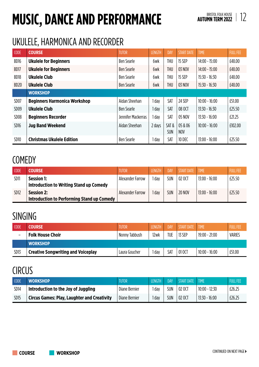# **MUSIC, DANCE AND PERFORMANCE**

#### UKULELE, HARMONICA AND RECORDER

| <b>CODE</b>      | <b>COURSE</b>                       | <b>TUTOR</b>       | <b>LENGTH</b> | <b>DAY</b>         | <b>START DATE</b>     | <b>TIME</b>     | <b>FULL FEE</b> |
|------------------|-------------------------------------|--------------------|---------------|--------------------|-----------------------|-----------------|-----------------|
| BD <sub>16</sub> | <b>Ukulele for Beginners</b>        | <b>Ben Searle</b>  | 6wk           | <b>THU</b>         | <b>15 SEP</b>         | $14:00 - 15:00$ | £48.00          |
| BD17             | <b>Ukulele for Beginners</b>        | <b>Ben Searle</b>  | 6wk           | <b>THU</b>         | 03 NOV                | $14:00 - 15:00$ | £48.00          |
| BD <sub>18</sub> | <b>Ukulele Club</b>                 | <b>Ben Searle</b>  | 6wk           | <b>THU</b>         | <b>15 SEP</b>         | $15:30 - 16:30$ | £48.00          |
| BD <sub>20</sub> | <b>Ukulele Club</b>                 | <b>Ben Searle</b>  | 6wk           | <b>THU</b>         | <b>03 NOV</b>         | $15:30 - 16:30$ | £48.00          |
|                  | <b>WORKSHOP</b>                     |                    |               |                    |                       |                 |                 |
| SD07             | <b>Beginners Harmonica Workshop</b> | Aidan Sheehan      | 1 day         | SAT                | 24 SEP                | $10:00 - 16:00$ | £51.00          |
| SD <sub>09</sub> | <b>Ukulele Club</b>                 | <b>Ben Searle</b>  | I dav         | SAT                | 08 OCT                | $13:30 - 16:30$ | £25.50          |
| SD <sub>08</sub> | <b>Beginners Recorder</b>           | Jennifer Mackerras | l dav         | <b>SAT</b>         | 05 NOV                | $13:30 - 16:00$ | £21.25          |
| SD <sub>16</sub> | <b>Jug Band Weekend</b>             | Aidan Sheehan      | 2 days        | SAT&<br><b>SUN</b> | 05 & 06<br><b>NOV</b> | $10:00 - 16:00$ | £102.00         |
| SD <sub>10</sub> | <b>Christmas Ukulele Edition</b>    | <b>Ben Searle</b>  | , day         | SAT                | 10 DEC                | $13:00 - 16:00$ | £25.50          |

#### **COMEDY**

| <b>CODE</b>      | <b>COURSE</b>                                                   | <b>TUTOR</b>     | <b>LENGTH</b> | <b>DAY</b> | <b>START DATE</b> | <b>TIME</b>     | <b>FULL FEE</b> |
|------------------|-----------------------------------------------------------------|------------------|---------------|------------|-------------------|-----------------|-----------------|
| SD <sub>11</sub> | Session 1:<br>Introduction to Writing Stand up Comedy           | Alexander Farrow | day           | <b>SUN</b> | 02 OCT            | $13:00 - 16:00$ | £25.50          |
| SD <sub>12</sub> | <b>Session 2:</b><br>Introduction to Performing Stand up Comedy | Alexander Farrow | day           | <b>SUN</b> | <b>20 NOV</b>     | $13:00 - 16:00$ | £25.50          |

#### SINGING

| CODE             | <b>COURSE</b>                             | TUTOR         | I FNGTH | DAY        | <b>START DATE</b> | <b>TIME</b>     | <b>FULL FEE</b> |
|------------------|-------------------------------------------|---------------|---------|------------|-------------------|-----------------|-----------------|
|                  | <b>Folk House Choir</b>                   | Nonny Tabbush | 12wk    | <b>TUE</b> | 13 SEP            | $19:00 - 21:00$ | <b>VARIES</b>   |
|                  | <b>WORKSHOP</b>                           |               |         |            |                   |                 |                 |
| SD <sub>13</sub> | <b>Creative Songwriting and Voiceplay</b> | Laura Goucher | day     | SAT        | 01 OCT            | $10:00 - 16:00$ | £51.00          |

#### **CIRCUS**

| <b>CODE</b>      | <b>WORKSHOP</b>                                    | <b>TUTOR</b>  | <b>LENGTH</b> | DAY <sup></sup> | START DATE | TIME            | <b>FULL FEE</b> |
|------------------|----------------------------------------------------|---------------|---------------|-----------------|------------|-----------------|-----------------|
| SD <sub>14</sub> | Introduction to the Joy of Juggling                | Diane Bernier | day           | SUN             | 02 OCT     | $10:00 - 12:30$ | £26.25          |
| SD <sub>15</sub> | <b>Circus Games: Play, Laughter and Creativity</b> | Diane Bernier | day           | SUN             | 02 OCT     | $13:30 - 16:00$ | £26.25          |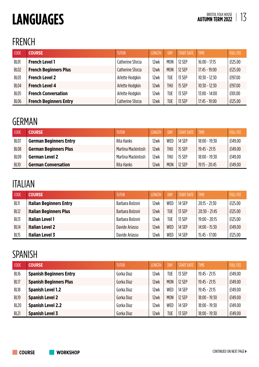# 13 **LANGUAGES**

#### FRENCH

| CODE             | <b>COURSE</b>                 | <b>TUTOR</b>     | <b>LENGTH</b> | <b>DAY</b> | <b>START DATE</b> | <b>TIME</b>     | <b>FULL FEE</b> |
|------------------|-------------------------------|------------------|---------------|------------|-------------------|-----------------|-----------------|
| BL01             | <b>French Level 1</b>         | Catherine Sforza | 12wk          | <b>MON</b> | 12 SEP            | $16:00 - 17:15$ | £125.00         |
| BL <sub>02</sub> | <b>French Beginners Plus</b>  | Catherine Sforza | 12wk          | <b>MON</b> | 12 SEP            | $17:45 - 19:00$ | £125.00         |
| BL03             | <b>French Level 2</b>         | Arlette Hodgkin  | 12wk          | <b>TUE</b> | 13 SEP            | $10:30 - 12:30$ | £197.00         |
| <b>BL04</b>      | <b>French Level 4</b>         | Arlette Hodgkin  | 12wk          | <b>THU</b> | 15 SEP            | $10:30 - 12:30$ | £197.00         |
| <b>BL05</b>      | <b>French Conversation</b>    | Arlette Hodgkin  | 12wk          | <b>TUE</b> | 13 SEP            | $13:00 - 14:00$ | £101.00         |
| BL <sub>06</sub> | <b>French Beginners Entry</b> | Catherine Sforza | 12wk          | <b>TUE</b> | 13 SEP            | $17:45 - 19:00$ | £125.00         |

#### GERMAN

| <b>CODE</b>      | <b>COURSE</b>                 | TUTOR              | <b>LENGTH</b> | DAY        | START DATE    | <b>TIME</b>     | <b>FULL FEE</b> |
|------------------|-------------------------------|--------------------|---------------|------------|---------------|-----------------|-----------------|
| BL07             | <b>German Beginners Entry</b> | Rita Hanks         | 12wk          | WED        | 14 SEP        | $18:00 - 19:30$ | £149.00         |
| BL <sub>08</sub> | <b>German Beginners Plus</b>  | Martina Mackintosh | 12wk          | <b>THU</b> | <b>15 SEP</b> | $19:45 - 21:15$ | £149.00         |
| BL <sub>09</sub> | <b>German Level 2</b>         | Martina Mackintosh | 12wk          | <b>THU</b> | 15 SEP        | $18:00 - 19:30$ | £149.00         |
| <b>BL10</b>      | <b>German Conversation</b>    | Rita Hanks         | 12wk          | <b>MON</b> | 12 SEP        | $19:15 - 20:45$ | £149.00         |

#### ITALIAN

| <b>CODE</b>      | <b>COURSE</b>                  | <b>TUTOR</b>    | <b>LENGTH</b> | DAY        | <b>START DATE</b> | <b>TIME</b>     | <b>FULL FEE</b> |
|------------------|--------------------------------|-----------------|---------------|------------|-------------------|-----------------|-----------------|
| BL11             | <b>Italian Beginners Entry</b> | Barbara Bolzoni | 12wk          | <b>WED</b> | 14 SEP            | $20:15 - 21:30$ | £125.00         |
| BL12             | <b>Italian Beginners Plus</b>  | Barbara Bolzoni | 12wk          | <b>TUE</b> | 13 SEP            | $20:30 - 21:45$ | £125.00         |
| BL <sub>13</sub> | <b>Italian Level 1</b>         | Barbara Bolzoni | 12wk          | TUE        | 13 SFP            | $19:00 - 20:15$ | £125.00         |
| <b>BL14</b>      | <b>Italian Level 2</b>         | Davide Ariasso  | 12wk          | <b>WED</b> | 14 SEP            | $14:00 - 15:30$ | £149.00         |
| BL15             | <b>Italian Level 3</b>         | Davide Ariasso  | 12wk          | <b>WED</b> | 14 SEP            | $15:45 - 17:00$ | £125.00         |

#### SPANISH

| <b>CODE</b> | <b>COURSE</b>                  | TUTOR'     | <b>LENGTH</b> | DAY        | <b>START DATE</b> | <b>TIME</b>     | <b>FULL FEE</b> |
|-------------|--------------------------------|------------|---------------|------------|-------------------|-----------------|-----------------|
| BL16        | <b>Spanish Beginners Entry</b> | Gorka Diaz | 12wk          | TUE        | 13 SEP            | $19:45 - 21:15$ | £149.00         |
| BL17        | <b>Spanish Beginners Plus</b>  | Gorka Diaz | 12wk          | <b>MON</b> | 12 SEP            | $19:45 - 21:15$ | £149.00         |
| BL18        | <b>Spanish Level 1.2</b>       | Gorka Diaz | 12wk          | WED        | 14 SEP            | $19:45 - 21:15$ | £149.00         |
| <b>BL19</b> | <b>Spanish Level 2</b>         | Gorka Diaz | 12wk          | <b>MON</b> | 12 SEP            | $18:00 - 19:30$ | £149.00         |
| <b>BL20</b> | <b>Spanish Level 2.2</b>       | Gorka Diaz | 12wk          | <b>WED</b> | 14 SEP            | $18:00 - 19:30$ | £149.00         |
| <b>BL21</b> | <b>Spanish Level 3</b>         | Gorka Diaz | 12wk          | <b>TUE</b> | <b>13 SEP</b>     | $18:00 - 19:30$ | £149.00         |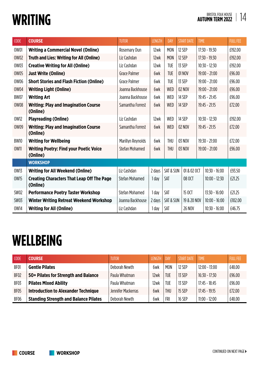# **WRITING**

| <b>CODE</b> | <b>COURSE</b>                                                 | <b>TUTOR</b>          | <b>LENGTH</b> | DAY                  | <b>START DATE</b> | <b>TIME</b>     | <b>FULL FEE</b> |
|-------------|---------------------------------------------------------------|-----------------------|---------------|----------------------|-------------------|-----------------|-----------------|
| 0W01        | <b>Writing a Commercial Novel (Online)</b>                    | Rosemary Dun          | 12wk          | <b>MON</b>           | 12 SEP            | $17:30 - 19:30$ | £192.00         |
| <b>OW02</b> | <b>Truth and Lies: Writing for All (Online)</b>               | Liz Cashdan           | 12wk          | <b>MON</b>           | 12 SEP            | $17:30 - 19:30$ | £192.00         |
| <b>OW03</b> | <b>Creative Writing for All (Online)</b>                      | Liz Cashdan           | 12wk          | <b>TUE</b>           | 13 SEP            | $10:30 - 12:30$ | £192.00         |
| <b>OW05</b> | <b>Just Write (Online)</b>                                    | <b>Grace Palmer</b>   | 6wk           | <b>TUE</b>           | 01 NOV            | $19:00 - 21:00$ | £96.00          |
| 0W06        | <b>Short Stories and Flash Fiction (Online)</b>               | Grace Palmer          | 6wk           | <b>TUE</b>           | 13 SEP            | $19:00 - 21:00$ | £96.00          |
| 0W04        | <b>Writing Light (Online)</b>                                 | Joanna Backhouse      | 6wk           | <b>WED</b>           | <b>02 NOV</b>     | $19:00 - 21:00$ | £96.00          |
| <b>BW07</b> | <b>Writing Art</b>                                            | Joanna Backhouse      | 6wk           | <b>WED</b>           | 14 SEP            | $19:45 - 21:45$ | £96.00          |
| <b>OW08</b> | <b>Writing: Play and Imagination Course</b><br>(Online)       | Samantha Forrest      | 6wk           | <b>WED</b>           | 14 SEP            | $19:45 - 21:15$ | £72.00          |
| 0W12        | <b>Playreading (Online)</b>                                   | Liz Cashdan           | 12wk          | <b>WED</b>           | 14 SEP            | $10:30 - 12:30$ | £192.00         |
| 0W09        | <b>Writing: Play and Imagination Course</b><br>(Online)       | Samantha Forrest      | 6wk           | <b>WED</b>           | <b>02 NOV</b>     | $19:45 - 21:15$ | £72.00          |
| <b>BW10</b> | <b>Writing for Wellbeing</b>                                  | Marillyn Reynolds     | 6wk           | <b>THU</b>           | 03 NOV            | $19:30 - 21:00$ | £72.00          |
| 0W11        | <b>Writing Poetry: Find your Poetic Voice</b><br>(Online)     | Stefan Mohamed        | 6wk           | <b>THU</b>           | 03 NOV            | $19:00 - 21:00$ | £96.00          |
|             | <b>WORKSHOP</b>                                               |                       |               |                      |                   |                 |                 |
| <b>OW13</b> | <b>Writing for All Weekend (Online)</b>                       | Liz Cashdan           | 2 days        | <b>SAT &amp; SUN</b> | 01 & 02 OCT       | $10:30 - 16:00$ | £93.50          |
| <b>OW15</b> | <b>Creating Characters That Leap Off The Page</b><br>(Online) | <b>Stefan Mohamed</b> | 1 day         | <b>SAT</b>           | 08 OCT            | $10:00 - 12:30$ | £21.25          |
| SW02        | <b>Performance Poetry Taster Workshop</b>                     | Stefan Mohamed        | 1 day         | SAT                  | 15 OCT            | $13:30 - 16:00$ | £21.25          |
| <b>SW03</b> | <b>Winter Writing Retreat Weekend Workshop</b>                | Joanna Backhouse      | 2 days        | SAT & SUN            | 19 & 20 NOV       | $10:00 - 16:00$ | £102.00         |
| 0W14        | <b>Writing for All (Online)</b>                               | Liz Cashdan           | 1 day         | SAT                  | <b>26 NOV</b>     | $10:30 - 16:00$ | £46.75          |

# **WELLBEING**

| <b>CODE</b>      | <b>COURSE</b>                                | <b>TUTOR</b>       | <b>LENGTH</b> | <b>DAY</b> | <b>START DATE</b> | <b>TIME</b>     | <b>FULL FEE</b> |
|------------------|----------------------------------------------|--------------------|---------------|------------|-------------------|-----------------|-----------------|
| BF01             | <b>Gentle Pilates</b>                        | Deborah Newth      | 6wk           | <b>MON</b> | 12 SFP            | $12:00 - 13:00$ | £48.00          |
| BF <sub>02</sub> | 50+ Pilates for Strength and Balance         | Paula Whatman      | 12wk          | <b>TUE</b> | 13 SEP            | $16:30 - 17:30$ | £96.00          |
| BF03             | <b>Pilates Mixed Ability</b>                 | Paula Whatman      | 12wk          | <b>TUE</b> | 13 SEP            | $17:45 - 18:45$ | £96.00          |
| BF05             | <b>Introduction to Alexander Technique</b>   | Jennifer Mackerras | 6wk           | <b>THU</b> | <b>15 SEP</b>     | $17:45 - 19:15$ | £72.00          |
| BF06             | <b>Standing Strength and Balance Pilates</b> | Deborah Newth      | 6wk           | <b>FRI</b> | <b>16 SEP</b>     | $11:00 - 12:00$ | £48.00          |